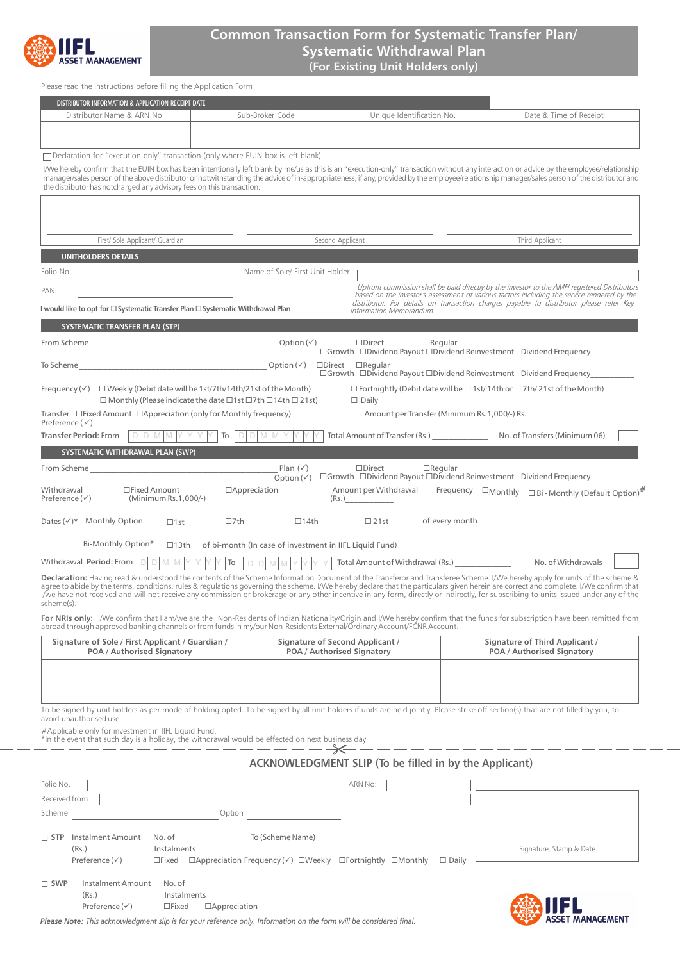

# **Common Transaction Form for Systematic Transfer Plan/ Systematic Withdrawal Plan (For Existing Unit Holders only)**

Please read the instructions before filling the Application Form

| DISTRIBUTOR INFORMATION & APPLICATION RECEIPT DATE                                                                                                                                                                                                                                                                                                                                                                                                                                                                                                                       |            |                                                                                                                                                                                                                                                                                         |                                                               |                 |                                                                                                                                                                                                                                                                                                                                                                                            |
|--------------------------------------------------------------------------------------------------------------------------------------------------------------------------------------------------------------------------------------------------------------------------------------------------------------------------------------------------------------------------------------------------------------------------------------------------------------------------------------------------------------------------------------------------------------------------|------------|-----------------------------------------------------------------------------------------------------------------------------------------------------------------------------------------------------------------------------------------------------------------------------------------|---------------------------------------------------------------|-----------------|--------------------------------------------------------------------------------------------------------------------------------------------------------------------------------------------------------------------------------------------------------------------------------------------------------------------------------------------------------------------------------------------|
| Distributor Name & ARN No.                                                                                                                                                                                                                                                                                                                                                                                                                                                                                                                                               |            | Sub-Broker Code                                                                                                                                                                                                                                                                         | Unique Identification No.                                     |                 | Date & Time of Receipt                                                                                                                                                                                                                                                                                                                                                                     |
|                                                                                                                                                                                                                                                                                                                                                                                                                                                                                                                                                                          |            |                                                                                                                                                                                                                                                                                         |                                                               |                 |                                                                                                                                                                                                                                                                                                                                                                                            |
| $\Box$ Declaration for "execution-only" transaction (only where EUIN box is left blank)                                                                                                                                                                                                                                                                                                                                                                                                                                                                                  |            |                                                                                                                                                                                                                                                                                         |                                                               |                 |                                                                                                                                                                                                                                                                                                                                                                                            |
| the distributor has notcharged any advisory fees on this transaction.                                                                                                                                                                                                                                                                                                                                                                                                                                                                                                    |            |                                                                                                                                                                                                                                                                                         |                                                               |                 | I/We hereby confirm that the EUIN box has been intentionally left blank by me/us as this is an "execution-only" transaction without any interaction or advice by the employee/relationship<br>manager/sales person of the above distributor or notwithstanding the advice of in-appropriateness, if any, provided by the employee/relationship manager/sales person of the distributor and |
|                                                                                                                                                                                                                                                                                                                                                                                                                                                                                                                                                                          |            |                                                                                                                                                                                                                                                                                         |                                                               |                 |                                                                                                                                                                                                                                                                                                                                                                                            |
|                                                                                                                                                                                                                                                                                                                                                                                                                                                                                                                                                                          |            |                                                                                                                                                                                                                                                                                         |                                                               |                 |                                                                                                                                                                                                                                                                                                                                                                                            |
| First/ Sole Applicant/ Guardian                                                                                                                                                                                                                                                                                                                                                                                                                                                                                                                                          |            | Second Applicant                                                                                                                                                                                                                                                                        |                                                               | Third Applicant |                                                                                                                                                                                                                                                                                                                                                                                            |
| <b>UNITHOLDERS DETAILS</b>                                                                                                                                                                                                                                                                                                                                                                                                                                                                                                                                               |            |                                                                                                                                                                                                                                                                                         |                                                               |                 |                                                                                                                                                                                                                                                                                                                                                                                            |
| Folio No.                                                                                                                                                                                                                                                                                                                                                                                                                                                                                                                                                                |            | Name of Sole/ First Unit Holder                                                                                                                                                                                                                                                         |                                                               |                 |                                                                                                                                                                                                                                                                                                                                                                                            |
| PAN                                                                                                                                                                                                                                                                                                                                                                                                                                                                                                                                                                      |            | Upfront commission shall be paid directly by the investor to the AMFI registered Distributors<br>based on the investor's assessment of various factors including the service rendered by the<br>distributor. For details on transaction charges payable to distributor please refer Key |                                                               |                 |                                                                                                                                                                                                                                                                                                                                                                                            |
| I would like to opt for □ Systematic Transfer Plan □ Systematic Withdrawal Plan                                                                                                                                                                                                                                                                                                                                                                                                                                                                                          |            |                                                                                                                                                                                                                                                                                         | Information Memorandum.                                       |                 |                                                                                                                                                                                                                                                                                                                                                                                            |
| SYSTEMATIC TRANSFER PLAN (STP)                                                                                                                                                                                                                                                                                                                                                                                                                                                                                                                                           |            |                                                                                                                                                                                                                                                                                         |                                                               |                 |                                                                                                                                                                                                                                                                                                                                                                                            |
|                                                                                                                                                                                                                                                                                                                                                                                                                                                                                                                                                                          |            |                                                                                                                                                                                                                                                                                         | $\square$ Direct                                              | $\Box$ Regular  | □Growth □Dividend Payout □Dividend Reinvestment Dividend Frequency                                                                                                                                                                                                                                                                                                                         |
| To Scheme $\qquad \qquad \text{Option}(\checkmark)$                                                                                                                                                                                                                                                                                                                                                                                                                                                                                                                      |            |                                                                                                                                                                                                                                                                                         | $\square$ Direct $\square$ Regular                            |                 | □Growth □Dividend Payout □Dividend Reinvestment Dividend Frequency                                                                                                                                                                                                                                                                                                                         |
| Frequency $(\checkmark)$ $\Box$ Weekly (Debit date will be 1st/7th/14th/21st of the Month)<br>$\Box$ Monthly (Please indicate the date $\Box$ 1st $\Box$ 7th $\Box$ 14th $\Box$ 21st)                                                                                                                                                                                                                                                                                                                                                                                    |            |                                                                                                                                                                                                                                                                                         | $\Box$ Daily                                                  |                 | $\Box$ Fortnightly (Debit date will be $\Box$ 1st/ 14th or $\Box$ 7th/ 21st of the Month)                                                                                                                                                                                                                                                                                                  |
| Transfer $\Box$ Fixed Amount $\Box$ Appreciation (only for Monthly frequency)<br>Preference $(\checkmark)$                                                                                                                                                                                                                                                                                                                                                                                                                                                               |            |                                                                                                                                                                                                                                                                                         |                                                               |                 | Amount per Transfer (Minimum Rs.1,000/-) Rs.                                                                                                                                                                                                                                                                                                                                               |
| <b>Transfer Period: From</b><br>DDMMY                                                                                                                                                                                                                                                                                                                                                                                                                                                                                                                                    |            | $\overline{I}$ $\overline{O}$ $\overline{O}$ $\overline{O}$ $\overline{M}$ $\overline{M}$                                                                                                                                                                                               |                                                               |                 | Total Amount of Transfer (Rs.) No. of Transfers (Minimum 06)                                                                                                                                                                                                                                                                                                                               |
| SYSTEMATIC WITHDRAWAL PLAN (SWP)                                                                                                                                                                                                                                                                                                                                                                                                                                                                                                                                         |            |                                                                                                                                                                                                                                                                                         |                                                               |                 |                                                                                                                                                                                                                                                                                                                                                                                            |
| From Scheme <b>Example 20</b>                                                                                                                                                                                                                                                                                                                                                                                                                                                                                                                                            |            | Plan $(\checkmark)$<br>Option $(\checkmark)$                                                                                                                                                                                                                                            | $\square$ Direct                                              | $\Box$ Regular  | □Growth □Dividend Payout □Dividend Reinvestment Dividend Frequency                                                                                                                                                                                                                                                                                                                         |
| □Fixed Amount<br>Withdrawal<br>Preference $(\checkmark)$<br>(Minimum Rs.1,000/-)                                                                                                                                                                                                                                                                                                                                                                                                                                                                                         |            | □Appreciation                                                                                                                                                                                                                                                                           | Amount per Withdrawal<br>(Rs.)                                |                 | Frequency $\Box$ Monthly $\Box$ Bi - Monthly (Default Option) <sup>#</sup>                                                                                                                                                                                                                                                                                                                 |
| Dates $(\checkmark)^*$ Monthly Option<br>$\Box$ 1st                                                                                                                                                                                                                                                                                                                                                                                                                                                                                                                      | $\Box$ 7th | $\Box$ 14th                                                                                                                                                                                                                                                                             | $\Box$ 21st                                                   | of every month  |                                                                                                                                                                                                                                                                                                                                                                                            |
| Bi-Monthly Option#<br>$\Box$ 13th                                                                                                                                                                                                                                                                                                                                                                                                                                                                                                                                        |            | of bi-month (In case of investment in IIFL Liquid Fund)                                                                                                                                                                                                                                 |                                                               |                 |                                                                                                                                                                                                                                                                                                                                                                                            |
| Withdrawal Period: From   D<br>$\Box$<br>M M                                                                                                                                                                                                                                                                                                                                                                                                                                                                                                                             | $\lor$ To  | Y Y I<br>$\Box$<br>$\Box$<br>M                                                                                                                                                                                                                                                          | Total Amount of Withdrawal (Rs.) ______________               |                 | No. of Withdrawals                                                                                                                                                                                                                                                                                                                                                                         |
| Declaration: Having read & understood the contents of the Scheme Information Document of the Transferor and Transferee Scheme. I/We hereby apply for units of the scheme &<br>agree to abide by the terms, conditions, rules & regulations governing the scheme. I/We hereby declare that the particulars given herein are correct and complete. I/We confirm that<br>I/we have not received and will not receive any commission or brokerage or any other incentive in any form, directly or indirectly, for subscribing to units issued under any of the<br>scheme(s). |            |                                                                                                                                                                                                                                                                                         |                                                               |                 |                                                                                                                                                                                                                                                                                                                                                                                            |
| For NRIs only: I/We confirm that I am/we are the Non-Residents of Indian Nationality/Origin and I/We hereby confirm that the funds for subscription have been remitted from<br>abroad through approved banking channels or from funds in my/our Non-Residents External/Ordinary Account/FCNR Account.                                                                                                                                                                                                                                                                    |            |                                                                                                                                                                                                                                                                                         |                                                               |                 |                                                                                                                                                                                                                                                                                                                                                                                            |
| Signature of Sole / First Applicant / Guardian /<br>POA / Authorised Signatory                                                                                                                                                                                                                                                                                                                                                                                                                                                                                           |            |                                                                                                                                                                                                                                                                                         | Signature of Second Applicant /<br>POA / Authorised Signatory |                 | Signature of Third Applicant /<br>POA / Authorised Signatory                                                                                                                                                                                                                                                                                                                               |
|                                                                                                                                                                                                                                                                                                                                                                                                                                                                                                                                                                          |            |                                                                                                                                                                                                                                                                                         |                                                               |                 |                                                                                                                                                                                                                                                                                                                                                                                            |
|                                                                                                                                                                                                                                                                                                                                                                                                                                                                                                                                                                          |            |                                                                                                                                                                                                                                                                                         |                                                               |                 |                                                                                                                                                                                                                                                                                                                                                                                            |
|                                                                                                                                                                                                                                                                                                                                                                                                                                                                                                                                                                          |            |                                                                                                                                                                                                                                                                                         |                                                               |                 |                                                                                                                                                                                                                                                                                                                                                                                            |
| To be signed by unit holders as per mode of holding opted. To be signed by all unit holders if units are held jointly. Please strike off section(s) that are not filled by you, to<br>avoid unauthorised use.                                                                                                                                                                                                                                                                                                                                                            |            |                                                                                                                                                                                                                                                                                         |                                                               |                 |                                                                                                                                                                                                                                                                                                                                                                                            |
| #Applicable only for investment in IIFL Liquid Fund.                                                                                                                                                                                                                                                                                                                                                                                                                                                                                                                     |            |                                                                                                                                                                                                                                                                                         |                                                               |                 |                                                                                                                                                                                                                                                                                                                                                                                            |

\*In the event that such day is a holiday, the withdrawal would be effected on next business day

## **ACKNOWLEDGMENT SLIP (To be filled in by the Applicant)**

| Folio No.     |                              |                                                                                                                          | ARN No: |                         |
|---------------|------------------------------|--------------------------------------------------------------------------------------------------------------------------|---------|-------------------------|
| Received from |                              |                                                                                                                          |         |                         |
| Scheme        |                              | Option                                                                                                                   |         |                         |
|               | $\Box$ STP Instalment Amount | To (Scheme Name)<br>No. of                                                                                               |         |                         |
|               | (Rs.)                        | Instalments                                                                                                              |         | Signature, Stamp & Date |
|               | Preference $(\checkmark)$    | $\Box$ Fixed $\Box$ Appreciation Frequency ( $\checkmark$ ) $\Box$ Weekly $\Box$ Fortnightly $\Box$ Monthly $\Box$ Daily |         |                         |
| $\Box$ SWP    | Instalment Amount            | No. of                                                                                                                   |         |                         |
|               | (Rs.)                        | Instalments                                                                                                              |         | $-1$<br>-----           |



*Please Note: This acknowledgment slip is for your reference only. Information on the form will be considered final.* 

Preference  $(\checkmark)$   $\Box$  Fixed  $\Box$  Appreciation